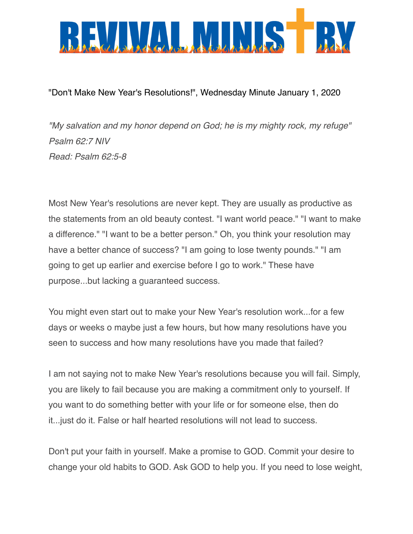

"Don't Make New Year's Resolutions!", Wednesday Minute January 1, 2020

*"My salvation and my honor depend on God; he is my mighty rock, my refuge" Psalm 62:7 NIV Read: Psalm 62:5-8*

Most New Year's resolutions are never kept. They are usually as productive as the statements from an old beauty contest. "I want world peace." "I want to make a difference." "I want to be a better person." Oh, you think your resolution may have a better chance of success? "I am going to lose twenty pounds." "I am going to get up earlier and exercise before I go to work." These have purpose...but lacking a guaranteed success.

You might even start out to make your New Year's resolution work...for a few days or weeks o maybe just a few hours, but how many resolutions have you seen to success and how many resolutions have you made that failed?

I am not saying not to make New Year's resolutions because you will fail. Simply, you are likely to fail because you are making a commitment only to yourself. If you want to do something better with your life or for someone else, then do it...just do it. False or half hearted resolutions will not lead to success.

Don't put your faith in yourself. Make a promise to GOD. Commit your desire to change your old habits to GOD. Ask GOD to help you. If you need to lose weight,